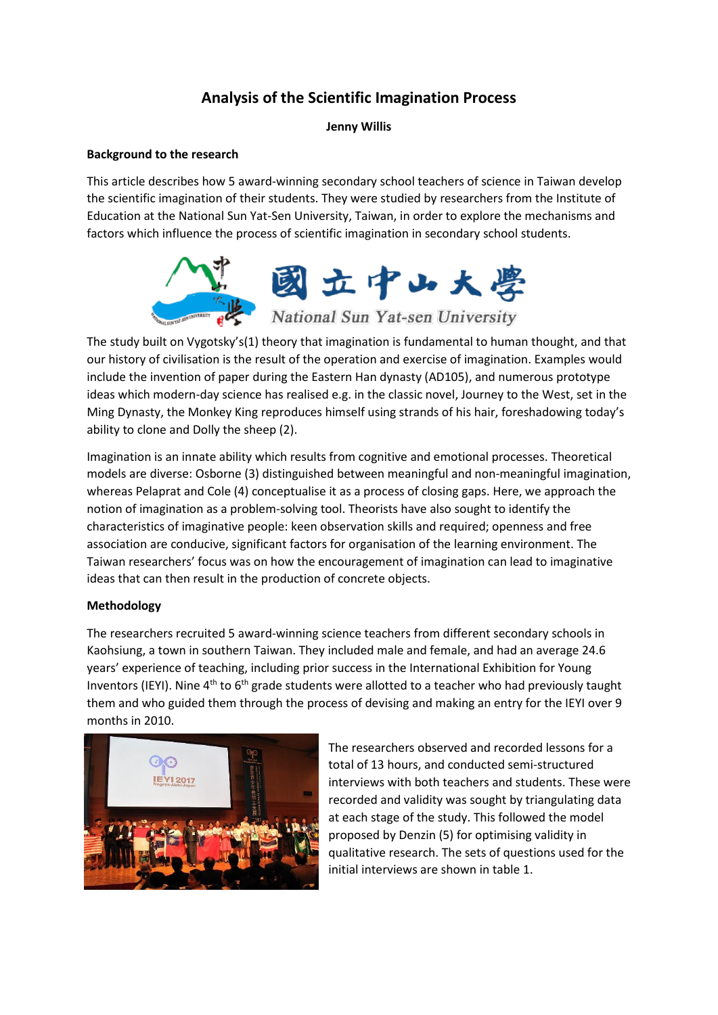# **Analysis of the Scientific Imagination Process**

# **Jenny Willis**

# **Background to the research**

This article describes how 5 award-winning secondary school teachers of science in Taiwan develop the scientific imagination of their students. They were studied by researchers from the Institute of Education at the National Sun Yat-Sen University, Taiwan, in order to explore the mechanisms and factors which influence the process of scientific imagination in secondary school students.



The study built on Vygotsky's(1) theory that imagination is fundamental to human thought, and that our history of civilisation is the result of the operation and exercise of imagination. Examples would include the invention of paper during the Eastern Han dynasty (AD105), and numerous prototype ideas which modern-day science has realised e.g. in the classic novel, Journey to the West, set in the Ming Dynasty, the Monkey King reproduces himself using strands of his hair, foreshadowing today's ability to clone and Dolly the sheep (2).

Imagination is an innate ability which results from cognitive and emotional processes. Theoretical models are diverse: Osborne (3) distinguished between meaningful and non-meaningful imagination, whereas Pelaprat and Cole (4) conceptualise it as a process of closing gaps. Here, we approach the notion of imagination as a problem-solving tool. Theorists have also sought to identify the characteristics of imaginative people: keen observation skills and required; openness and free association are conducive, significant factors for organisation of the learning environment. The Taiwan researchers' focus was on how the encouragement of imagination can lead to imaginative ideas that can then result in the production of concrete objects.

# **Methodology**

The researchers recruited 5 award-winning science teachers from different secondary schools in Kaohsiung, a town in southern Taiwan. They included male and female, and had an average 24.6 years' experience of teaching, including prior success in the International Exhibition for Young Inventors (IEYI). Nine 4<sup>th</sup> to 6<sup>th</sup> grade students were allotted to a teacher who had previously taught them and who guided them through the process of devising and making an entry for the IEYI over 9 months in 2010.



The researchers observed and recorded lessons for a total of 13 hours, and conducted semi-structured interviews with both teachers and students. These were recorded and validity was sought by triangulating data at each stage of the study. This followed the model proposed by Denzin (5) for optimising validity in qualitative research. The sets of questions used for the initial interviews are shown in table 1.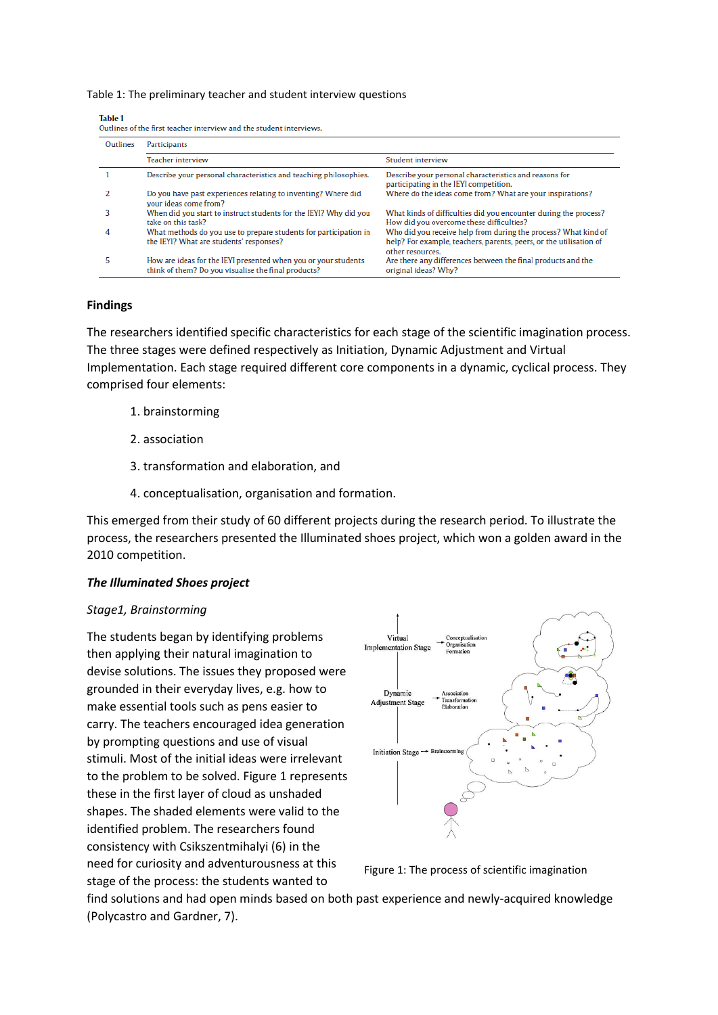Table 1: The preliminary teacher and student interview questions

| Outlines | Participants                                                                                                          |                                                                                                                                                          |
|----------|-----------------------------------------------------------------------------------------------------------------------|----------------------------------------------------------------------------------------------------------------------------------------------------------|
|          | Teacher interview                                                                                                     | Student interview                                                                                                                                        |
|          | Describe your personal characteristics and teaching philosophies.                                                     | Describe your personal characteristics and reasons for<br>participating in the IEYI competition.                                                         |
|          | Do you have past experiences relating to inventing? Where did<br>vour ideas come from?                                | Where do the ideas come from? What are your inspirations?                                                                                                |
| 3        | When did you start to instruct students for the IEYI? Why did you<br>take on this task?                               | What kinds of difficulties did you encounter during the process?<br>How did you overcome these difficulties?                                             |
| 4        | What methods do you use to prepare students for participation in<br>the IEYI? What are students' responses?           | Who did you receive help from during the process? What kind of<br>help? For example, teachers, parents, peers, or the utilisation of<br>other resources. |
| 5        | How are ideas for the IEYI presented when you or your students<br>think of them? Do you visualise the final products? | Are there any differences between the final products and the<br>original ideas? Why?                                                                     |

### **Findings**

The researchers identified specific characteristics for each stage of the scientific imagination process. The three stages were defined respectively as Initiation, Dynamic Adjustment and Virtual Implementation. Each stage required different core components in a dynamic, cyclical process. They comprised four elements:

- 1. brainstorming
- 2. association
- 3. transformation and elaboration, and
- 4. conceptualisation, organisation and formation.

This emerged from their study of 60 different projects during the research period. To illustrate the process, the researchers presented the Illuminated shoes project, which won a golden award in the 2010 competition.

#### *The Illuminated Shoes project*

#### *Stage1, Brainstorming*

The students began by identifying problems then applying their natural imagination to devise solutions. The issues they proposed were grounded in their everyday lives, e.g. how to make essential tools such as pens easier to carry. The teachers encouraged idea generation by prompting questions and use of visual stimuli. Most of the initial ideas were irrelevant to the problem to be solved. Figure 1 represents these in the first layer of cloud as unshaded shapes. The shaded elements were valid to the identified problem. The researchers found consistency with Csikszentmihalyi (6) in the need for curiosity and adventurousness at this stage of the process: the students wanted to



Figure 1: The process of scientific imagination

find solutions and had open minds based on both past experience and newly-acquired knowledge (Polycastro and Gardner, 7).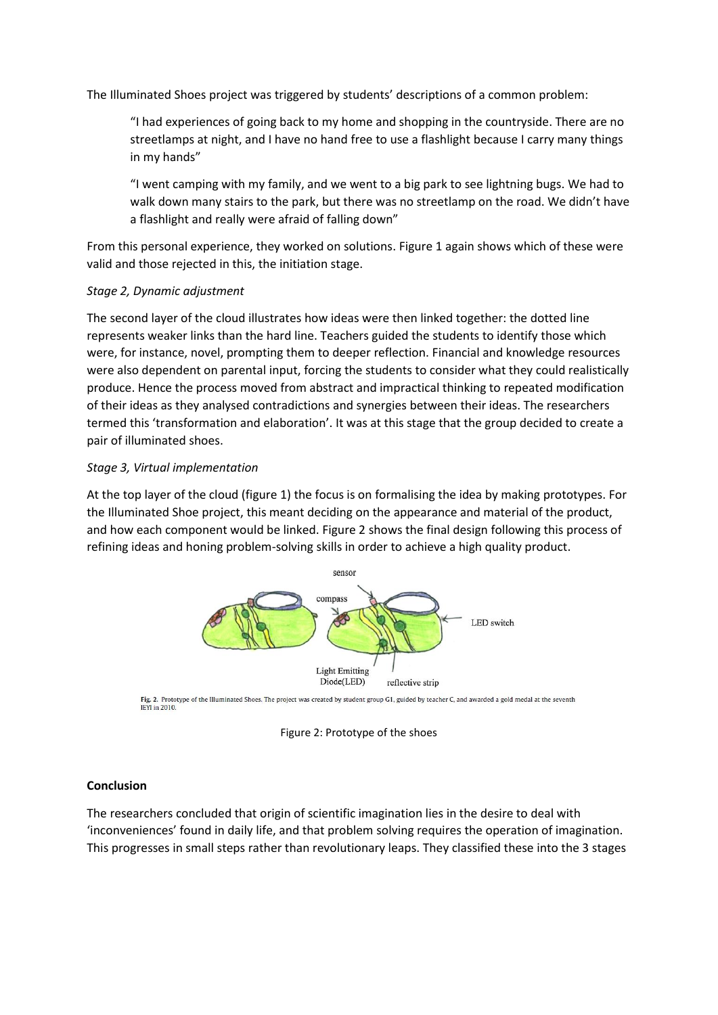The Illuminated Shoes project was triggered by students' descriptions of a common problem:

"I had experiences of going back to my home and shopping in the countryside. There are no streetlamps at night, and I have no hand free to use a flashlight because I carry many things in my hands"

"I went camping with my family, and we went to a big park to see lightning bugs. We had to walk down many stairs to the park, but there was no streetlamp on the road. We didn't have a flashlight and really were afraid of falling down"

From this personal experience, they worked on solutions. Figure 1 again shows which of these were valid and those rejected in this, the initiation stage.

### *Stage 2, Dynamic adjustment*

The second layer of the cloud illustrates how ideas were then linked together: the dotted line represents weaker links than the hard line. Teachers guided the students to identify those which were, for instance, novel, prompting them to deeper reflection. Financial and knowledge resources were also dependent on parental input, forcing the students to consider what they could realistically produce. Hence the process moved from abstract and impractical thinking to repeated modification of their ideas as they analysed contradictions and synergies between their ideas. The researchers termed this 'transformation and elaboration'. It was at this stage that the group decided to create a pair of illuminated shoes.

### *Stage 3, Virtual implementation*

At the top layer of the cloud (figure 1) the focus is on formalising the idea by making prototypes. For the Illuminated Shoe project, this meant deciding on the appearance and material of the product, and how each component would be linked. Figure 2 shows the final design following this process of refining ideas and honing problem-solving skills in order to achieve a high quality product.



Fig. 2. Prototype of the Illuminated Shoes. The project was created by student group G1, guided by teacher C, and awarded a gold medal at the seventh IEYI in 2010.

Figure 2: Prototype of the shoes

# **Conclusion**

The researchers concluded that origin of scientific imagination lies in the desire to deal with 'inconveniences' found in daily life, and that problem solving requires the operation of imagination. This progresses in small steps rather than revolutionary leaps. They classified these into the 3 stages